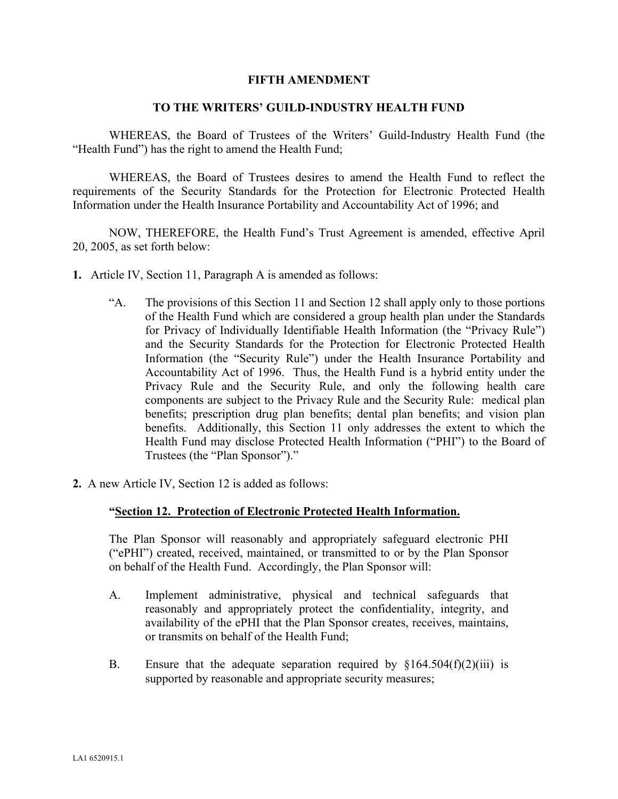## **FIFTH AMENDMENT**

## **TO THE WRITERS' GUILD-INDUSTRY HEALTH FUND**

WHEREAS, the Board of Trustees of the Writers' Guild-Industry Health Fund (the "Health Fund") has the right to amend the Health Fund;

WHEREAS, the Board of Trustees desires to amend the Health Fund to reflect the requirements of the Security Standards for the Protection for Electronic Protected Health Information under the Health Insurance Portability and Accountability Act of 1996; and

NOW, THEREFORE, the Health Fund's Trust Agreement is amended, effective April 20, 2005, as set forth below:

- **1.** Article IV, Section 11, Paragraph A is amended as follows:
	- "A. The provisions of this Section 11 and Section 12 shall apply only to those portions of the Health Fund which are considered a group health plan under the Standards for Privacy of Individually Identifiable Health Information (the "Privacy Rule") and the Security Standards for the Protection for Electronic Protected Health Information (the "Security Rule") under the Health Insurance Portability and Accountability Act of 1996. Thus, the Health Fund is a hybrid entity under the Privacy Rule and the Security Rule, and only the following health care components are subject to the Privacy Rule and the Security Rule: medical plan benefits; prescription drug plan benefits; dental plan benefits; and vision plan benefits. Additionally, this Section 11 only addresses the extent to which the Health Fund may disclose Protected Health Information ("PHI") to the Board of Trustees (the "Plan Sponsor")."
- **2.** A new Article IV, Section 12 is added as follows:

## **"Section 12. Protection of Electronic Protected Health Information.**

The Plan Sponsor will reasonably and appropriately safeguard electronic PHI ("ePHI") created, received, maintained, or transmitted to or by the Plan Sponsor on behalf of the Health Fund. Accordingly, the Plan Sponsor will:

- A. Implement administrative, physical and technical safeguards that reasonably and appropriately protect the confidentiality, integrity, and availability of the ePHI that the Plan Sponsor creates, receives, maintains, or transmits on behalf of the Health Fund;
- B. Ensure that the adequate separation required by  $\S164.504(f)(2)(iii)$  is supported by reasonable and appropriate security measures;